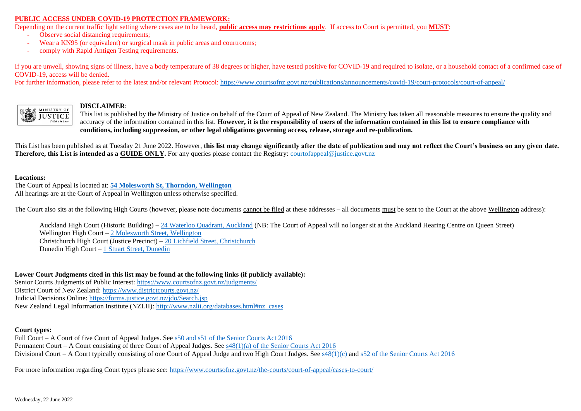## **PUBLIC ACCESS UNDER COVID-19 PROTECTION FRAMEWORK:**

Depending on the current traffic light setting where cases are to be heard, **public access may restrictions apply**. If access to Court is permitted, you **MUST**:

- Observe social distancing requirements:
- Wear a KN95 (or equivalent) or surgical mask in public areas and courtrooms;
- comply with Rapid Antigen Testing requirements.

If you are unwell, showing signs of illness, have a body temperature of 38 degrees or higher, have tested positive for COVID-19 and required to isolate, or a household contact of a confirmed case of COVID-19, access will be denied.

For further information, please refer to the latest and/or relevant Protocol: https://www.courtsofnz.govt.nz/publications/announcements/covid-19/court-protocols/court-of-appeal/



## **DISCLAIMER**:

This list is published by the Ministry of Justice on behalf of the Court of Appeal of New Zealand. The Ministry has taken all reasonable measures to ensure the quality and accuracy of the information contained in this list. **However, it is the responsibility of users of the information contained in this list to ensure compliance with conditions, including suppression, or other legal obligations governing access, release, storage and re-publication.**

This List has been published as at Tuesday 21 June 2022. However, **this list may change significantly after the date of publication and may not reflect the Court's business on any given date. Therefore, this List is intended as a GUIDE ONLY.** For any queries please contact the Registry[: courtofappeal@justice.govt.nz](mailto:courtofappeal@justice.govt.nz)

#### **Locations:**

The Court of Appeal is located at: **[54 Molesworth St, Thorndon, Wellington](https://www.google.co.nz/maps/place/Court+of+Appeal/@-41.2771939,174.7757623,17z/data=!3m1!4b1!4m5!3m4!1s0x6d38ae28c5772b75:0x5f31be133ca9eedd!8m2!3d-41.277198!4d174.777951)** All hearings are at the Court of Appeal in Wellington unless otherwise specified.

The Court also sits at the following High Courts (however, please note documents cannot be filed at these addresses – all documents must be sent to the Court at the above Wellington address):

Auckland High Court (Historic Building) – [24 Waterloo Quadrant, Auckland](https://www.google.co.nz/maps/place/Auckland+High+Court/@-36.8494994,174.7698438,17z/data=!3m1!4b1!4m5!3m4!1s0x6d0d47fd5cc3f035:0x8f1f9a931362fb87!8m2!3d-36.8495037!4d174.7720325) (NB: The Court of Appeal will no longer sit at the Auckland Hearing Centre on Queen Street) Wellington High Court – [2 Molesworth Street, Wellington](https://www.google.co.nz/maps/place/Wellington+High+Court/@-41.2780791,174.7761337,17z/data=!3m1!4b1!4m5!3m4!1s0x6d38ae2bfdc73707:0x3aac7a7da4af07d5!8m2!3d-41.2780832!4d174.7783224) Christchurch High Court (Justice Precinct) – [20 Lichfield Street, Christchurch](https://www.google.co.nz/maps/search/christchurch+high+court/@-43.5345181,172.6335657,18z/data=!3m1!4b1) Dunedin High Court – [1 Stuart Street, Dunedin](https://www.google.co.nz/maps/place/Dunedin+High+And+District+Court/@-45.8753504,170.505182,17z/data=!3m1!4b1!4m5!3m4!1s0xa82eac1249878df5:0xd7fcba2477b40dc4!8m2!3d-45.8753542!4d170.5073707)

## **Lower Court Judgments cited in this list may be found at the following links (if publicly available):**

Senior Courts Judgments of Public Interest:<https://www.courtsofnz.govt.nz/judgments/> District Court of New Zealand:<https://www.districtcourts.govt.nz/> Judicial Decisions Online:<https://forms.justice.govt.nz/jdo/Search.jsp> New Zealand Legal Information Institute (NZLII): [http://www.nzlii.org/databases.html#nz\\_cases](http://www.nzlii.org/databases.html#nz_cases)

## **Court types:**

Full Court – A Court of five Court of Appeal Judges. See [s50 and s51 of the Senior Courts Act 2016](http://www.legislation.govt.nz/act/public/2016/0048/latest/whole.html#DLM5759365) Permanent Court – A Court consisting of three Court of Appeal Judges. See [s48\(1\)\(a\) of the Senior Courts Act 2016](http://www.legislation.govt.nz/act/public/2016/0048/latest/whole.html#DLM6143302) Divisional Court – A Court typically consisting of one Court of Appeal Judge and two High Court Judges. See  $s48(1)(c)$  and  $s52$  of the Senior Courts Act 2016

For more information regarding Court types please see[: https://www.courtsofnz.govt.nz/the-courts/court-of-appeal/cases-to-court/](https://www.courtsofnz.govt.nz/the-courts/court-of-appeal/cases-to-court/)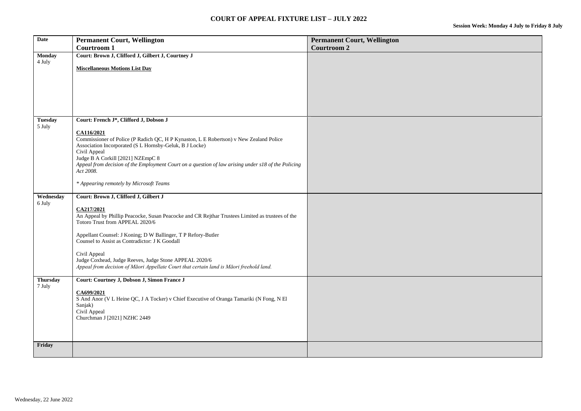| <b>Date</b>              | <b>Permanent Court, Wellington</b>                                                                                                                | <b>Permanent Court, Wellington</b> |
|--------------------------|---------------------------------------------------------------------------------------------------------------------------------------------------|------------------------------------|
|                          | <b>Courtroom 1</b>                                                                                                                                | <b>Courtroom 2</b>                 |
| <b>Monday</b><br>4 July  | Court: Brown J, Clifford J, Gilbert J, Courtney J                                                                                                 |                                    |
|                          | <b>Miscellaneous Motions List Day</b>                                                                                                             |                                    |
|                          |                                                                                                                                                   |                                    |
|                          |                                                                                                                                                   |                                    |
|                          |                                                                                                                                                   |                                    |
|                          |                                                                                                                                                   |                                    |
|                          |                                                                                                                                                   |                                    |
| <b>Tuesday</b><br>5 July | Court: French J*, Clifford J, Dobson J                                                                                                            |                                    |
|                          | CA116/2021                                                                                                                                        |                                    |
|                          | Commissioner of Police (P Radich QC, H P Kynaston, L E Robertson) v New Zealand Police                                                            |                                    |
|                          | Association Incorporated (S L Hornsby-Geluk, B J Locke)<br>Civil Appeal                                                                           |                                    |
|                          | Judge B A Corkill [2021] NZEmpC 8                                                                                                                 |                                    |
|                          | Appeal from decision of the Employment Court on a question of law arising under s18 of the Policing<br>Act 2008.                                  |                                    |
|                          |                                                                                                                                                   |                                    |
|                          | * Appearing remotely by Microsoft Teams                                                                                                           |                                    |
| Wednesday<br>6 July      | Court: Brown J, Clifford J, Gilbert J                                                                                                             |                                    |
|                          | CA217/2021                                                                                                                                        |                                    |
|                          | An Appeal by Phillip Peacocke, Susan Peacocke and CR Rejthar Trustees Limited as trustees of the<br>Totoro Trust from APPEAL 2020/6               |                                    |
|                          | Appellant Counsel: J Koning; D W Ballinger, T P Refory-Butler                                                                                     |                                    |
|                          | Counsel to Assist as Contradictor: J K Goodall                                                                                                    |                                    |
|                          | Civil Appeal                                                                                                                                      |                                    |
|                          | Judge Coxhead, Judge Reeves, Judge Stone APPEAL 2020/6<br>Appeal from decision of Māori Appellate Court that certain land is Māori freehold land. |                                    |
|                          |                                                                                                                                                   |                                    |
| <b>Thursday</b>          | Court: Courtney J, Dobson J, Simon France J                                                                                                       |                                    |
| 7 July                   | CA699/2021                                                                                                                                        |                                    |
|                          | S And Anor (V L Heine QC, J A Tocker) v Chief Executive of Oranga Tamariki (N Fong, N El                                                          |                                    |
|                          | Sanjak)                                                                                                                                           |                                    |
|                          | Civil Appeal<br>Churchman J [2021] NZHC 2449                                                                                                      |                                    |
|                          |                                                                                                                                                   |                                    |
|                          |                                                                                                                                                   |                                    |
| Friday                   |                                                                                                                                                   |                                    |
|                          |                                                                                                                                                   |                                    |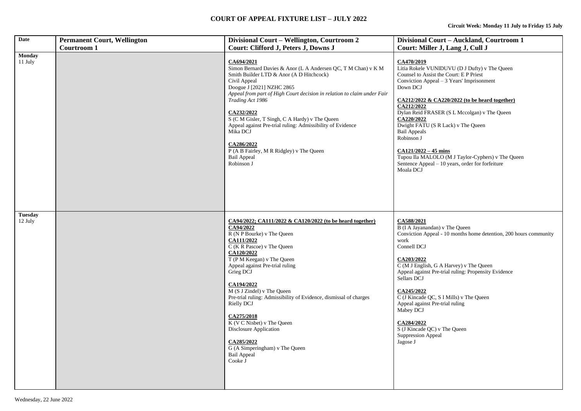| <b>Date</b>               | <b>Permanent Court, Wellington</b> | Divisional Court - Wellington, Courtroom 2                                                                                                                                                                                                                                                                                                                                                                                                                                                                                         | Divisional Court - Auckland, Courtroom 1                                                                                                                                                                                                                                                                                                                                                                                                                                                                                  |
|---------------------------|------------------------------------|------------------------------------------------------------------------------------------------------------------------------------------------------------------------------------------------------------------------------------------------------------------------------------------------------------------------------------------------------------------------------------------------------------------------------------------------------------------------------------------------------------------------------------|---------------------------------------------------------------------------------------------------------------------------------------------------------------------------------------------------------------------------------------------------------------------------------------------------------------------------------------------------------------------------------------------------------------------------------------------------------------------------------------------------------------------------|
|                           | <b>Courtroom 1</b>                 | Court: Clifford J, Peters J, Downs J                                                                                                                                                                                                                                                                                                                                                                                                                                                                                               | Court: Miller J, Lang J, Cull J                                                                                                                                                                                                                                                                                                                                                                                                                                                                                           |
| <b>Monday</b><br>11 July  |                                    | CA694/2021<br>Simon Bernard Davies & Anor (L A Andersen QC, T M Chan) v K M<br>Smith Builder LTD & Anor (A D Hitchcock)<br>Civil Appeal<br>Doogue J [2021] NZHC 2865<br>Appeal from part of High Court decision in relation to claim under Fair<br>Trading Act 1986<br>CA232/2022<br>S (C M Gisler, T Singh, C A Hardy) v The Queen<br>Appeal against Pre-trial ruling: Admissibility of Evidence<br>Mika DCJ<br>CA286/2022<br>P (A B Fairley, M R Ridgley) v The Queen<br><b>Bail Appeal</b><br>Robinson J                        | CA470/2019<br>Litia Rokele VUNIDUVU (D J Dufty) v The Queen<br>Counsel to Assist the Court: E P Priest<br>Conviction Appeal $-3$ Years' Imprisonment<br>Down DCJ<br>CA212/2022 & CA220/2022 (to be heard together)<br>CA212/2022<br>Dylan Reid FRASER (S L Mccolgan) v The Queen<br>CA220/2022<br>Dwight FATU (S R Lack) v The Queen<br><b>Bail Appeals</b><br>Robinson J<br>$CA121/2022 - 45$ mins<br>Tupou Ila MALOLO (M J Taylor-Cyphers) v The Queen<br>Sentence Appeal - 10 years, order for forfeiture<br>Moala DCJ |
| <b>Tuesday</b><br>12 July |                                    | CA94/2022; CA111/2022 & CA120/2022 (to be heard together)<br>CA94/2022<br>R (N P Bourke) v The Queen<br>CA111/2022<br>C (K R Pascoe) v The Queen<br>CA120/2022<br>T (P M Keegan) v The Queen<br>Appeal against Pre-trial ruling<br>Grieg DCJ<br>CA194/2022<br>M (S J Zindel) v The Queen<br>Pre-trial ruling: Admissibility of Evidence, dismissal of charges<br>Rielly DCJ<br>CA275/2018<br>K (V C Nisbet) v The Queen<br>Disclosure Application<br>CA285/2022<br>G (A Simperingham) v The Queen<br><b>Bail Appeal</b><br>Cooke J | CA588/2021<br>B (I A Jayanandan) v The Queen<br>Conviction Appeal - 10 months home detention, 200 hours community<br>work<br>Connell DCJ<br>CA203/2022<br>$\overline{C(M J$ English, G A Harvey) v The Queen<br>Appeal against Pre-trial ruling: Propensity Evidence<br>Sellars DCJ<br>CA245/2022<br>C (J Kincade QC, S I Mills) v The Queen<br>Appeal against Pre-trial ruling<br>Mabey DCJ<br>CA284/2022<br>S (J Kincade QC) v The Queen<br><b>Suppression Appeal</b><br>Jagose J                                       |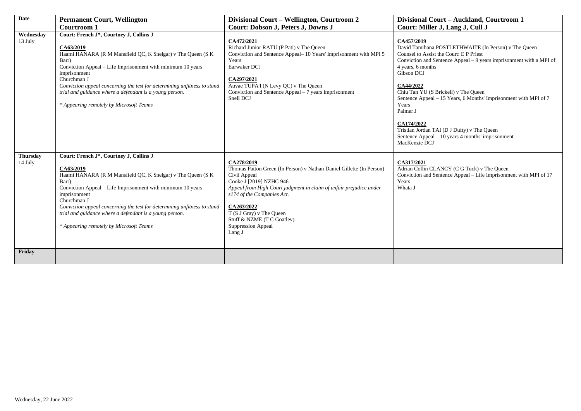| <b>Date</b>                | <b>Permanent Court, Wellington</b>                                                                                                                                                                                                                                                                                                                                                                           | Divisional Court - Wellington, Courtroom 2                                                                                                                                                                                                                                                                                                | Divisional Court - Auckland, Courtroom 1                                                                                                                                                                                                                                                                                                                                                                                                                                                                 |
|----------------------------|--------------------------------------------------------------------------------------------------------------------------------------------------------------------------------------------------------------------------------------------------------------------------------------------------------------------------------------------------------------------------------------------------------------|-------------------------------------------------------------------------------------------------------------------------------------------------------------------------------------------------------------------------------------------------------------------------------------------------------------------------------------------|----------------------------------------------------------------------------------------------------------------------------------------------------------------------------------------------------------------------------------------------------------------------------------------------------------------------------------------------------------------------------------------------------------------------------------------------------------------------------------------------------------|
|                            | Courtroom 1                                                                                                                                                                                                                                                                                                                                                                                                  | <b>Court: Dobson J, Peters J, Downs J</b>                                                                                                                                                                                                                                                                                                 | Court: Miller J, Lang J, Cull J                                                                                                                                                                                                                                                                                                                                                                                                                                                                          |
| Wednesday<br>13 July       | Court: French J*, Courtney J, Collins J<br>CA63/2019<br>Haami HANARA (R M Mansfield QC, K Snelgar) v The Queen (S K<br>Barr)<br>Conviction Appeal – Life Imprisonment with minimum 10 years<br>imprisonment<br>Churchman J<br>Conviction appeal concerning the test for determining unfitness to stand<br>trial and guidance where a defendant is a young person.<br>* Appearing remotely by Microsoft Teams | CA472/2021<br>Richard Junior RATU (P Pati) v The Queen<br>Conviction and Sentence Appeal- 10 Years' Imprisonment with MPI 5<br>Years<br>Earwaker DCJ<br>CA297/2021<br>Auvae TUPA'I (N Levy QC) v The Queen<br>Conviction and Sentence Appeal – 7 years imprisonment<br>Snell DCJ                                                          | CA457/2019<br>David Tamihana POSTLETHWAITE (In Person) v The Queen<br>Counsel to Assist the Court: E P Priest<br>Conviction and Sentence Appeal - 9 years imprisonment with a MPI of<br>4 years, 6 months<br>Gibson DCJ<br>CA44/2022<br>Chiu Tan YU (S Brickell) v The Queen<br>Sentence Appeal - 15 Years, 6 Months' Imprisonment with MPI of 7<br>Years<br>Palmer J<br>CA174/2022<br>Tristian Jordan TAI (D J Dufty) v The Queen<br>Sentence Appeal – 10 years 4 months' imprisonment<br>MacKenzie DCJ |
| <b>Thursday</b><br>14 July | Court: French J*, Courtney J, Collins J<br>CA63/2019<br>Haami HANARA (R M Mansfield QC, K Snelgar) v The Queen (S K<br>Barr)<br>Conviction Appeal – Life Imprisonment with minimum 10 years<br>imprisonment<br>Churchman J<br>Conviction appeal concerning the test for determining unfitness to stand<br>trial and guidance where a defendant is a young person.<br>* Appearing remotely by Microsoft Teams | CA278/2019<br>Thomas Patton Green (In Person) v Nathan Daniel Gillette (In Person)<br>Civil Appeal<br>Cooke J [2019] NZHC 946<br>Appeal from High Court judgment in claim of unfair prejudice under<br>s174 of the Companies Act.<br>CA263/2022<br>T (S J Gray) v The Queen<br>Stuff & NZME (T C Goatley)<br>Suppression Appeal<br>Lang J | CA317/2021<br>Adrian Collin CLANCY (C G Tuck) v The Queen<br>Conviction and Sentence Appeal – Life Imprisonment with MPI of 17<br>Years<br>Whata J                                                                                                                                                                                                                                                                                                                                                       |
| Friday                     |                                                                                                                                                                                                                                                                                                                                                                                                              |                                                                                                                                                                                                                                                                                                                                           |                                                                                                                                                                                                                                                                                                                                                                                                                                                                                                          |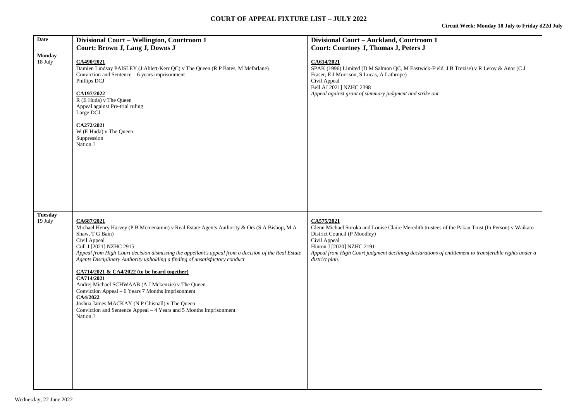# **COURT OF APPEAL FIXTURE LIST – JULY 2022**

| <b>Date</b>               | Divisional Court - Wellington, Courtroom 1<br>Court: Brown J, Lang J, Downs J                                                                                                                                                                                                                                                                                                                                                                                                                                                                                                                                                                                                          | Divisional Court - Auckland, Courtroom 1<br><b>Court: Courtney J, Thomas J, Peters J</b>                                                                                                                                                                                                                               |
|---------------------------|----------------------------------------------------------------------------------------------------------------------------------------------------------------------------------------------------------------------------------------------------------------------------------------------------------------------------------------------------------------------------------------------------------------------------------------------------------------------------------------------------------------------------------------------------------------------------------------------------------------------------------------------------------------------------------------|------------------------------------------------------------------------------------------------------------------------------------------------------------------------------------------------------------------------------------------------------------------------------------------------------------------------|
| <b>Monday</b><br>18 July  | CA490/2021<br>Damien Lindsay PAISLEY (J Ablett-Kerr QC) v The Queen (R P Bates, M Mcfarlane)<br>Conviction and Sentence $-6$ years imprisonment<br>Phillips DCJ<br>CA197/2022<br>R (E Huda) v The Queen<br>Appeal against Pre-trial ruling<br>Large DCJ<br>CA272/2021<br>W (E Huda) v The Queen<br>Suppression<br>Nation J                                                                                                                                                                                                                                                                                                                                                             | CA614/2021<br>SPAK (1996) Limited (D M Salmon QC, M Eastwick-Field, J B Trezise) v R Leroy & Anor (C J<br>Fraser, E J Morrison, S Lucas, A Lathrope)<br>Civil Appeal<br>Bell AJ 2021] NZHC 2398<br>Appeal against grant of summary judgment and strike out.                                                            |
| <b>Tuesday</b><br>19 July | CA687/2021<br>Michael Henry Harvey (P B Mcmenamin) v Real Estate Agents Authority & Ors (S A Bishop, M A<br>Shaw, T G Bain)<br>Civil Appeal<br>Cull J [2021] NZHC 2915<br>Appeal from High Court decision dismissing the appellant's appeal from a decision of the Real Estate<br>Agents Disciplinary Authority upholding a finding of unsatisfactory conduct.<br>CA714/2021 & CA4/2022 (to be heard together)<br>CA714/2021<br>Andrej Michael SCHWAAB (A J Mckenzie) v The Queen<br>Conviction Appeal – 6 Years 7 Months Imprisonment<br>CA4/2022<br>Joshua James MACKAY (N P Chisnall) v The Queen<br>Conviction and Sentence Appeal - 4 Years and 5 Months Imprisonment<br>Nation J | CA575/2021<br>Glenn Michael Soroka and Louise Claire Meredith trustees of the Pakau Trust (In Person) v Waikato<br>District Council (P Moodley)<br>Civil Appeal<br>Hinton J [2020] NZHC 2191<br>Appeal from High Court judgment declining declarations of entitlement to transferable rights under a<br>district plan. |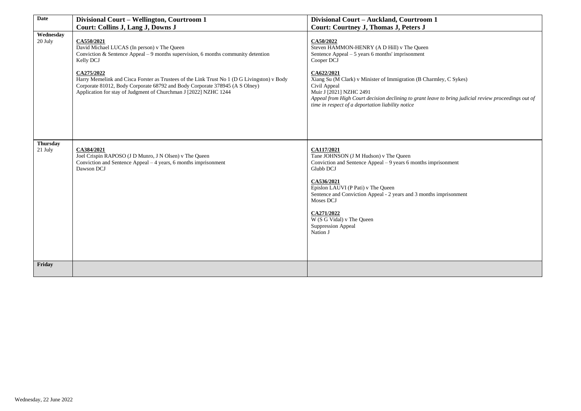| <b>Date</b>                | Divisional Court - Wellington, Courtroom 1                                                                                                                                                                                                                                                                                                                                                                                   | Divisional Court - Auckland, Courtroom 1                                                                                                                                                                                                                                                                                                                                                                               |
|----------------------------|------------------------------------------------------------------------------------------------------------------------------------------------------------------------------------------------------------------------------------------------------------------------------------------------------------------------------------------------------------------------------------------------------------------------------|------------------------------------------------------------------------------------------------------------------------------------------------------------------------------------------------------------------------------------------------------------------------------------------------------------------------------------------------------------------------------------------------------------------------|
|                            | Court: Collins J, Lang J, Downs J                                                                                                                                                                                                                                                                                                                                                                                            | Court: Courtney J, Thomas J, Peters J                                                                                                                                                                                                                                                                                                                                                                                  |
| Wednesday<br>20 July       | CA550/2021<br>David Michael LUCAS (In person) v The Queen<br>Conviction & Sentence Appeal $-9$ months supervision, 6 months community detention<br>Kelly DCJ<br>CA275/2022<br>Harry Memelink and Cisca Forster as Trustees of the Link Trust No 1 (D G Livingston) v Body<br>Corporate 81012, Body Corporate 68792 and Body Corporate 378945 (A S Olney)<br>Application for stay of Judgment of Churchman J [2022] NZHC 1244 | CA50/2022<br>Steven HAMMON-HENRY (A D Hill) v The Queen<br>Sentence Appeal $-5$ years 6 months' imprisonment<br>Cooper DCJ<br>CA622/2021<br>Xiang Su (M Clark) v Minister of Immigration (B Charmley, C Sykes)<br>Civil Appeal<br>Muir J [2021] NZHC 2491<br>Appeal from High Court decision declining to grant leave to bring judicial review proceedings out of<br>time in respect of a deportation liability notice |
| <b>Thursday</b><br>21 July | CA384/2021<br>Joel Crispin RAPOSO (J D Munro, J N Olsen) v The Queen<br>Conviction and Sentence Appeal - 4 years, 6 months imprisonment<br>Dawson DCJ                                                                                                                                                                                                                                                                        | CA117/2021<br>Tane JOHNSON (J M Hudson) v The Queen<br>Conviction and Sentence Appeal – 9 years 6 months imprisonment<br>Glubb DCJ<br>CA536/2021<br>Epislon LAUVI (P Pati) v The Queen<br>Sentence and Conviction Appeal - 2 years and 3 months imprisonment<br>Moses DCJ<br>CA271/2022<br>W (S G Vidal) v The Queen<br><b>Suppression Appeal</b><br>Nation J                                                          |
| Friday                     |                                                                                                                                                                                                                                                                                                                                                                                                                              |                                                                                                                                                                                                                                                                                                                                                                                                                        |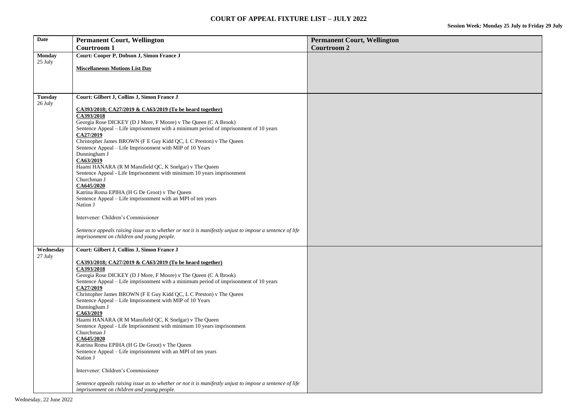| Date                      | <b>Permanent Court, Wellington</b>                                                                                             | <b>Permanent Court, Wellington</b> |
|---------------------------|--------------------------------------------------------------------------------------------------------------------------------|------------------------------------|
|                           | <b>Courtroom 1</b>                                                                                                             | <b>Courtroom 2</b>                 |
| <b>Monday</b>             | Court: Cooper P, Dobson J, Simon France J                                                                                      |                                    |
| 25 July                   |                                                                                                                                |                                    |
|                           | <b>Miscellaneous Motions List Day</b>                                                                                          |                                    |
|                           |                                                                                                                                |                                    |
|                           |                                                                                                                                |                                    |
|                           |                                                                                                                                |                                    |
| <b>Tuesday</b><br>26 July | Court: Gilbert J, Collins J, Simon France J                                                                                    |                                    |
|                           | CA393/2018; CA27/2019 & CA63/2019 (To be heard together)                                                                       |                                    |
|                           | CA393/2018                                                                                                                     |                                    |
|                           | Georgia Rose DICKEY (D J More, F Moore) v The Queen (C A Brook)                                                                |                                    |
|                           | Sentence Appeal – Life imprisonment with a minimum period of imprisonment of 10 years                                          |                                    |
|                           | CA27/2019                                                                                                                      |                                    |
|                           | Christopher James BROWN (F E Guy Kidd QC, L C Preston) v The Queen                                                             |                                    |
|                           | Sentence Appeal – Life Imprisonment with MIP of 10 Years<br>Dunningham J                                                       |                                    |
|                           | CA63/2019                                                                                                                      |                                    |
|                           | Haami HANARA (R M Mansfield QC, K Snelgar) v The Queen                                                                         |                                    |
|                           | Sentence Appeal - Life Imprisonment with minimum 10 years imprisonment                                                         |                                    |
|                           | Churchman J                                                                                                                    |                                    |
|                           | CA645/2020                                                                                                                     |                                    |
|                           | Katrina Roma EPIHA (H G De Groot) v The Queen                                                                                  |                                    |
|                           | Sentence Appeal - Life imprisonment with an MPI of ten years<br>Nation J                                                       |                                    |
|                           |                                                                                                                                |                                    |
|                           | Intervener: Children's Commissioner                                                                                            |                                    |
|                           |                                                                                                                                |                                    |
|                           | Sentence appeals raising issue as to whether or not it is manifestly unjust to impose a sentence of life                       |                                    |
|                           | imprisonment on children and young people.                                                                                     |                                    |
| Wednesday                 | Court: Gilbert J, Collins J, Simon France J                                                                                    |                                    |
| 27 July                   |                                                                                                                                |                                    |
|                           | CA393/2018; CA27/2019 & CA63/2019 (To be heard together)                                                                       |                                    |
|                           | CA393/2018                                                                                                                     |                                    |
|                           | Georgia Rose DICKEY (D J More, F Moore) v The Queen (C A Brook)                                                                |                                    |
|                           | Sentence Appeal - Life imprisonment with a minimum period of imprisonment of 10 years                                          |                                    |
|                           | CA27/2019                                                                                                                      |                                    |
|                           | Christopher James BROWN (F E Guy Kidd QC, L C Preston) v The Queen<br>Sentence Appeal - Life Imprisonment with MIP of 10 Years |                                    |
|                           | Dunningham J                                                                                                                   |                                    |
|                           | CA63/2019                                                                                                                      |                                    |
|                           | Haami HANARA (R M Mansfield QC, K Snelgar) v The Queen                                                                         |                                    |
|                           | Sentence Appeal - Life Imprisonment with minimum 10 years imprisonment                                                         |                                    |
|                           | Churchman J                                                                                                                    |                                    |
|                           | CA645/2020                                                                                                                     |                                    |
|                           | Katrina Roma EPIHA (H G De Groot) v The Queen<br>Sentence Appeal - Life imprisonment with an MPI of ten years                  |                                    |
|                           | Nation J                                                                                                                       |                                    |
|                           |                                                                                                                                |                                    |
|                           | Intervener: Children's Commissioner                                                                                            |                                    |
|                           |                                                                                                                                |                                    |
|                           | Sentence appeals raising issue as to whether or not it is manifestly unjust to impose a sentence of life                       |                                    |
|                           | imprisonment on children and young people.                                                                                     |                                    |